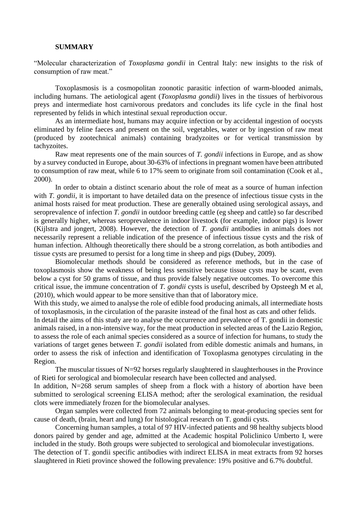## **SUMMARY**

"Molecular characterization of *Toxoplasma gondii* in Central Italy: new insights to the risk of consumption of raw meat."

Toxoplasmosis is a cosmopolitan zoonotic parasitic infection of warm-blooded animals, including humans. The aetiological agent (*Toxoplasma gondii*) lives in the tissues of herbivorous preys and intermediate host carnivorous predators and concludes its life cycle in the final host represented by felids in which intestinal sexual reproduction occur.

As an intermediate host, humans may acquire infection or by accidental ingestion of oocysts eliminated by feline faeces and present on the soil, vegetables, water or by ingestion of raw meat (produced by zootechnical animals) containing bradyzoites or for vertical transmission by tachyzoites.

Raw meat represents one of the main sources of *T. gondii* infections in Europe, and as show by a survey conducted in Europe, about 30-63% of infections in pregnant women have been attributed to consumption of raw meat, while 6 to 17% seem to originate from soil contamination (Cook et al., 2000).

In order to obtain a distinct scenario about the role of meat as a source of human infection with *T. gondii*, it is important to have detailed data on the presence of infectious tissue cysts in the animal hosts raised for meat production. These are generally obtained using serological assays, and seroprevalence of infection *T. gondii* in outdoor breeding cattle (eg sheep and cattle) so far described is generally higher, whereas seroprevalence in indoor livestock (for example, indoor pigs) is lower (Kijlstra and jongert, 2008). However, the detection of *T. gondii* antibodies in animals does not necessarily represent a reliable indication of the presence of infectious tissue cysts and the risk of human infection. Although theoretically there should be a strong correlation, as both antibodies and tissue cysts are presumed to persist for a long time in sheep and pigs (Dubey, 2009).

Biomolecular methods should be considered as reference methods, but in the case of toxoplasmosis show the weakness of being less sensitive because tissue cysts may be scant, even below a cyst for 50 grams of tissue, and thus provide falsely negative outcomes. To overcome this critical issue, the immune concentration of *T. gondii* cysts is useful, described by Opsteegh M et al, (2010), which would appear to be more sensitive than that of laboratory mice.

With this study, we aimed to analyse the role of edible food producing animals, all intermediate hosts of toxoplasmosis, in the circulation of the parasite instead of the final host as cats and other felids.

In detail the aims of this study are to analyse the occurrence and prevalence of T. gondii in domestic animals raised, in a non-intensive way, for the meat production in selected areas of the Lazio Region, to assess the role of each animal species considered as a source of infection for humans, to study the variations of target genes between *T. gondii* isolated from edible domestic animals and humans, in order to assess the risk of infection and identification of Toxoplasma genotypes circulating in the Region.

The muscular tissues of N=92 horses regularly slaughtered in slaughterhouses in the Province of Rieti for serological and biomolecular research have been collected and analysed.

In addition, N=268 serum samples of sheep from a flock with a history of abortion have been submitted to serological screening ELISA method; after the serological examination, the residual clots were immediately frozen for the biomolecular analyses.

Organ samples were collected from 72 animals belonging to meat-producing species sent for cause of death, (brain, heart and lung) for histological research on T. gondii cysts.

Concerning human samples, a total of 97 HIV-infected patients and 98 healthy subjects blood donors paired by gender and age, admitted at the Academic hospital Policlinico Umberto I, were included in the study. Both groups were subjected to serological and biomolecular investigations. The detection of T. gondii specific antibodies with indirect ELISA in meat extracts from 92 horses slaughtered in Rieti province showed the following prevalence: 19% positive and 6.7% doubtful.